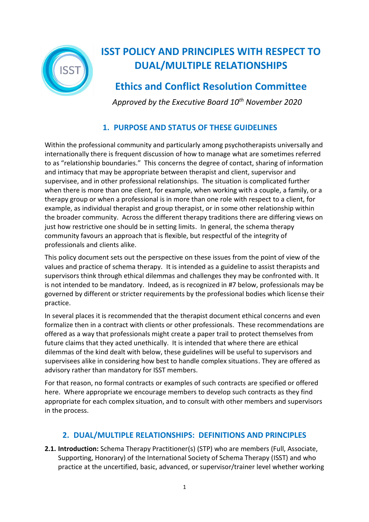

# **ISST POLICY AND PRINCIPLES WITH RESPECT TO DUAL/MULTIPLE RELATIONSHIPS**

# **Ethics and Conflict Resolution Committee**

 *Approved by the Executive Board 10th November 2020*

## **1. PURPOSE AND STATUS OF THESE GUIDELINES**

Within the professional community and particularly among psychotherapists universally and internationally there is frequent discussion of how to manage what are sometimes referred to as "relationship boundaries." This concerns the degree of contact, sharing of information and intimacy that may be appropriate between therapist and client, supervisor and supervisee, and in other professional relationships. The situation is complicated further when there is more than one client, for example, when working with a couple, a family, or a therapy group or when a professional is in more than one role with respect to a client, for example, as individual therapist and group therapist, or in some other relationship within the broader community. Across the different therapy traditions there are differing views on just how restrictive one should be in setting limits. In general, the schema therapy community favours an approach that is flexible, but respectful of the integrity of professionals and clients alike.

This policy document sets out the perspective on these issues from the point of view of the values and practice of schema therapy. It is intended as a guideline to assist therapists and supervisors think through ethical dilemmas and challenges they may be confronted with. It is not intended to be mandatory. Indeed, as is recognized in #7 below, professionals may be governed by different or stricter requirements by the professional bodies which license their practice.

In several places it is recommended that the therapist document ethical concerns and even formalize then in a contract with clients or other professionals. These recommendations are offered as a way that professionals might create a paper trail to protect themselves from future claims that they acted unethically. It is intended that where there are ethical dilemmas of the kind dealt with below, these guidelines will be useful to supervisors and supervisees alike in considering how best to handle complex situations. They are offered as advisory rather than mandatory for ISST members.

For that reason, no formal contracts or examples of such contracts are specified or offered here. Where appropriate we encourage members to develop such contracts as they find appropriate for each complex situation, and to consult with other members and supervisors in the process.

#### **2. DUAL/MULTIPLE RELATIONSHIPS: DEFINITIONS AND PRINCIPLES**

**2.1. Introduction:** Schema Therapy Practitioner(s) (STP) who are members (Full, Associate, Supporting, Honorary) of the International Society of Schema Therapy (ISST) and who practice at the uncertified, basic, advanced, or supervisor/trainer level whether working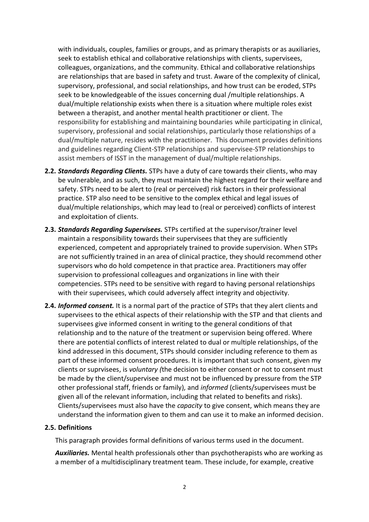with individuals, couples, families or groups, and as primary therapists or as auxiliaries, seek to establish ethical and collaborative relationships with clients, supervisees, colleagues, organizations, and the community. Ethical and collaborative relationships are relationships that are based in safety and trust. Aware of the complexity of clinical, supervisory, professional, and social relationships, and how trust can be eroded, STPs seek to be knowledgeable of the issues concerning dual /multiple relationships. A dual/multiple relationship exists when there is a situation where multiple roles exist between a therapist, and another mental health practitioner or client. The responsibility for establishing and maintaining boundaries while participating in clinical, supervisory, professional and social relationships, particularly those relationships of a dual/multiple nature, resides with the practitioner. This document provides definitions and guidelines regarding Client-STP relationships and supervisee-STP relationships to assist members of ISST in the management of dual/multiple relationships.

- **2.2.** *Standards Regarding Clients.* STPs have a duty of care towards their clients, who may be vulnerable, and as such, they must maintain the highest regard for their welfare and safety. STPs need to be alert to (real or perceived) risk factors in their professional practice. STP also need to be sensitive to the complex ethical and legal issues of dual/multiple relationships, which may lead to (real or perceived) conflicts of interest and exploitation of clients.
- **2.3.** *Standards Regarding Supervisees.* STPs certified at the supervisor/trainer level maintain a responsibility towards their supervisees that they are sufficiently experienced, competent and appropriately trained to provide supervision. When STPs are not sufficiently trained in an area of clinical practice, they should recommend other supervisors who do hold competence in that practice area. Practitioners may offer supervision to professional colleagues and organizations in line with their competencies. STPs need to be sensitive with regard to having personal relationships with their supervisees, which could adversely affect integrity and objectivity.
- **2.4.** *Informed consent.* It is a normal part of the practice of STPs that they alert clients and supervisees to the ethical aspects of their relationship with the STP and that clients and supervisees give informed consent in writing to the general conditions of that relationship and to the nature of the treatment or supervision being offered. Where there are potential conflicts of interest related to dual or multiple relationships, of the kind addressed in this document, STPs should consider including reference to them as part of these informed consent procedures. It is important that such consent, given my clients or suprvisees, is *voluntary (*the decision to either consent or not to consent must be made by the client/supervisee and must not be influenced by pressure from the STP other professional staff, friends or family), and *informed* (clients/supervisees must be given all of the relevant information, including that related to benefits and risks). Clients/supervisees must also have the *capacity* to give consent, which means they are understand the information given to them and can use it to make an informed decision.

#### **2.5. Definitions**

This paragraph provides formal definitions of various terms used in the document.

*Auxiliaries.* Mental health professionals other than psychotherapists who are working as a member of a multidisciplinary treatment team. These include, for example, creative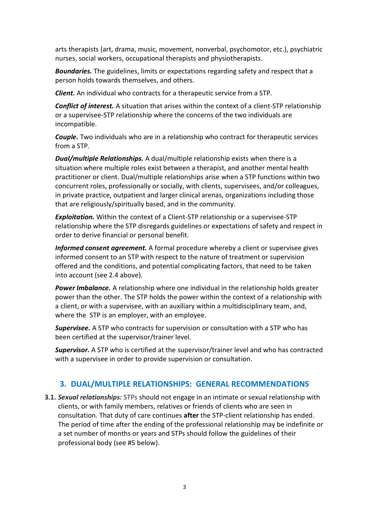arts therapists (art, drama, music, movement, nonverbal, psychomotor, etc.), psychiatric nurses, social workers, occupational therapists and physiotherapists.

*Boundaries.* The guidelines, limits or expectations regarding safety and respect that a person holds towards themselves, and others.

*Client.* An individual who contracts for a therapeutic service from a STP.

*Conflict of interest.* A situation that arises within the context of a client-STP relationship or a supervisee-STP relationship where the concerns of the two individuals are incompatible.

*Couple.* Two individuals who are in a relationship who contract for therapeutic services from a STP.

*Dual/multiple Relationships.* A dual/multiple relationship exists when there is a situation where multiple roles exist between a therapist, and another mental health practitioner or client. Dual/multiple relationships arise when a STP functions within two concurrent roles, professionally or socially, with clients, supervisees, and/or colleagues, in private practice, outpatient and larger clinical arenas, organizations including those that are religiously/spiritually based, and in the community.

*Exploitation.* Within the context of a Client-STP relationship or a supervisee-STP relationship where the STP disregards guidelines or expectations of safety and respect in order to derive financial or personal benefit.

*Informed consent agreement.* A formal procedure whereby a client or supervisee gives informed consent to an STP with respect to the nature of treatment or supervision offered and the conditions, and potential complicating factors, that need to be taken into account (see 2.4 above).

*Power Imbalance.* A relationship where one individual in the relationship holds greater power than the other. The STP holds the power within the context of a relationship with a client, or with a supervisee, with an auxiliary within a multidisciplinary team, and, where the STP is an employer, with an employee.

*Supervisee.* A STP who contracts for supervision or consultation with a STP who has been certified at the supervisor/trainer level.

*Supervisor.* A STP who is certified at the supervisor/trainer level and who has contracted with a supervisee in order to provide supervision or consultation.

#### **3. DUAL/MULTIPLE RELATIONSHIPS: GENERAL RECOMMENDATIONS**

**3.1.** *Sexual relationships:* STPs should not engage in an intimate or sexual relationship with clients, or with family members, relatives or friends of clients who are seen in consultation. That duty of care continues **after** the STP-client relationship has ended. The period of time after the ending of the professional relationship may be indefinite or a set number of months or years and STPs should follow the guidelines of their professional body (see #5 below).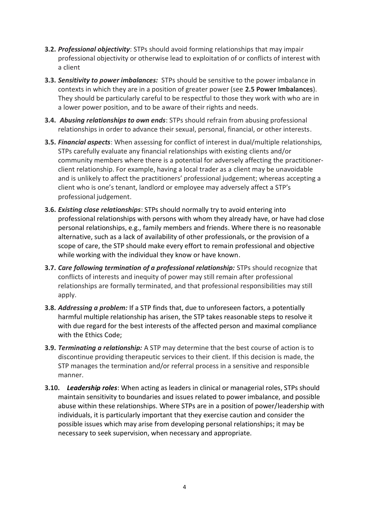- **3.2.** *Professional objectivity*: STPs should avoid forming relationships that may impair professional objectivity or otherwise lead to exploitation of or conflicts of interest with a client
- **3.3.** *Sensitivity to power imbalances:* STPs should be sensitive to the power imbalance in contexts in which they are in a position of greater power (see **2.5 Power Imbalances**). They should be particularly careful to be respectful to those they work with who are in a lower power position, and to be aware of their rights and needs.
- **3.4.** *Abusing relationships to own ends*: STPs should refrain from abusing professional relationships in order to advance their sexual, personal, financial, or other interests.
- **3.5.** *Financial aspects*: When assessing for conflict of interest in dual/multiple relationships*,*  STPs carefully evaluate any financial relationships with existing clients and/or community members where there is a potential for adversely affecting the practitionerclient relationship. For example, having a local trader as a client may be unavoidable and is unlikely to affect the practitioners' professional judgement; whereas accepting a client who is one's tenant, landlord or employee may adversely affect a STP's professional judgement.
- **3.6.** *Existing close relationships*: STPs should normally try to avoid entering into professional relationships with persons with whom they already have, or have had close personal relationships, e.g., family members and friends. Where there is no reasonable alternative, such as a lack of availability of other professionals, or the provision of a scope of care, the STP should make every effort to remain professional and objective while working with the individual they know or have known.
- **3.7.** *Care following termination of a professional relationship:* STPs should recognize that conflicts of interests and inequity of power may still remain after professional relationships are formally terminated, and that professional responsibilities may still apply.
- **3.8.** *Addressing a problem:* If a STP finds that, due to unforeseen factors, a potentially harmful multiple relationship has arisen, the STP takes reasonable steps to resolve it with due regard for the best interests of the affected person and maximal compliance with the Ethics Code;
- **3.9.** *Terminating a relationship:* A STP may determine that the best course of action is to discontinue providing therapeutic services to their client. If this decision is made, the STP manages the termination and/or referral process in a sensitive and responsible manner.
- **3.10.** *Leadership roles*: When acting as leaders in clinical or managerial roles, STPs should maintain sensitivity to boundaries and issues related to power imbalance, and possible abuse within these relationships. Where STPs are in a position of power/leadership with individuals, it is particularly important that they exercise caution and consider the possible issues which may arise from developing personal relationships; it may be necessary to seek supervision, when necessary and appropriate.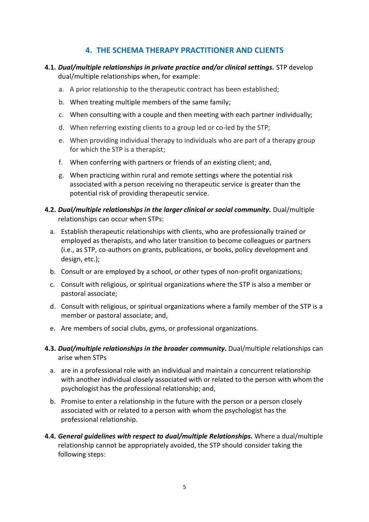## **4. THE SCHEMA THERAPY PRACTITIONER AND CLIENTS**

- **4.1.** *Dual/multiple relationships in private practice and/or clinical settings.* STP develop dual/multiple relationships when, for example:
	- a. A prior relationship to the therapeutic contract has been established;
	- b. When treating multiple members of the same family;
	- c. When consulting with a couple and then meeting with each partner individually;
	- d. When referring existing clients to a group led or co-led by the STP;
	- e. When providing individual therapy to individuals who are part of a therapy group for which the STP is a therapist;
	- f. When conferring with partners or friends of an existing client; and,
	- g. When practicing within rural and remote settings where the potential risk associated with a person receiving no therapeutic service is greater than the potential risk of providing therapeutic service.
- **4.2.** *Dual/multiple relationships in the larger clinical or social community.* Dual/multiple relationships can occur when STPs:
	- a. Establish therapeutic relationships with clients, who are professionally trained or employed as therapists, and who later transition to become colleagues or partners (i.e., as STP, co-authors on grants, publications, or books, policy development and design, etc.);
	- b. Consult or are employed by a school, or other types of non-profit organizations;
	- c. Consult with religious, or spiritual organizations where the STP is also a member or pastoral associate;
	- d. Consult with religious, or spiritual organizations where a family member of the STP is a member or pastoral associate; and,
	- e. Are members of social clubs, gyms, or professional organizations.
- **4.3.** *Dual/multiple relationships in the broader community***.** Dual/multiple relationships can arise when STPs
	- a. are in a professional role with an individual and maintain a concurrent relationship with another individual closely associated with or related to the person with whom the psychologist has the professional relationship; and,
	- b. Promise to enter a relationship in the future with the person or a person closely associated with or related to a person with whom the psychologist has the professional relationship.
- **4.4.** *General guidelines with respect to dual/multiple Relationships.* Where a dual/multiple relationship cannot be appropriately avoided, the STP should consider taking the following steps: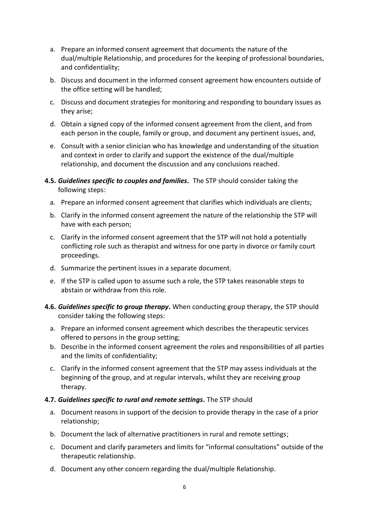- a. Prepare an informed consent agreement that documents the nature of the dual/multiple Relationship, and procedures for the keeping of professional boundaries, and confidentiality;
- b. Discuss and document in the informed consent agreement how encounters outside of the office setting will be handled;
- c. Discuss and document strategies for monitoring and responding to boundary issues as they arise;
- d. Obtain a signed copy of the informed consent agreement from the client, and from each person in the couple, family or group, and document any pertinent issues, and,
- e. Consult with a senior clinician who has knowledge and understanding of the situation and context in order to clarify and support the existence of the dual/multiple relationship, and document the discussion and any conclusions reached.
- **4.5.** *Guidelines specific to couples and families.* The STP should consider taking the following steps:
	- a. Prepare an informed consent agreement that clarifies which individuals are clients;
	- b. Clarify in the informed consent agreement the nature of the relationship the STP will have with each person;
	- c. Clarify in the informed consent agreement that the STP will not hold a potentially conflicting role such as therapist and witness for one party in divorce or family court proceedings.
	- d. Summarize the pertinent issues in a separate document.
	- e. If the STP is called upon to assume such a role, the STP takes reasonable steps to abstain or withdraw from this role.
- **4.6.** *Guidelines specific to group therapy***.** When conducting group therapy, the STP should consider taking the following steps:
	- a. Prepare an informed consent agreement which describes the therapeutic services offered to persons in the group setting;
	- b. Describe in the informed consent agreement the roles and responsibilities of all parties and the limits of confidentiality;
	- c. Clarify in the informed consent agreement that the STP may assess individuals at the beginning of the group, and at regular intervals, whilst they are receiving group therapy.

#### **4.7.** *Guidelines specific to rural and remote settings.* The STP should

- a. Document reasons in support of the decision to provide therapy in the case of a prior relationship;
- b. Document the lack of alternative practitioners in rural and remote settings;
- c. Document and clarify parameters and limits for "informal consultations" outside of the therapeutic relationship.
- d. Document any other concern regarding the dual/multiple Relationship.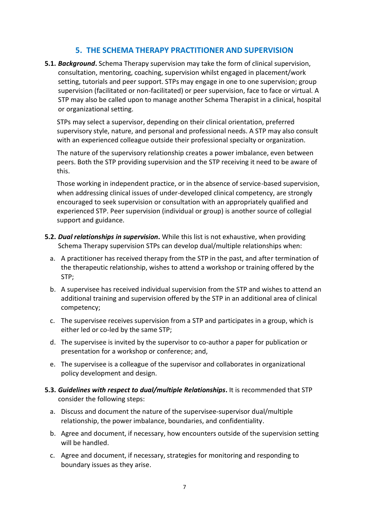### **5. THE SCHEMA THERAPY PRACTITIONER AND SUPERVISION**

**5.1.** *Background***.** Schema Therapy supervision may take the form of clinical supervision, consultation, mentoring, coaching, supervision whilst engaged in placement/work setting, tutorials and peer support. STPs may engage in one to one supervision; group supervision (facilitated or non-facilitated) or peer supervision, face to face or virtual. A STP may also be called upon to manage another Schema Therapist in a clinical, hospital or organizational setting.

STPs may select a supervisor, depending on their clinical orientation, preferred supervisory style, nature, and personal and professional needs. A STP may also consult with an experienced colleague outside their professional specialty or organization.

The nature of the supervisory relationship creates a power imbalance, even between peers. Both the STP providing supervision and the STP receiving it need to be aware of this.

Those working in independent practice, or in the absence of service-based supervision, when addressing clinical issues of under-developed clinical competency, are strongly encouraged to seek supervision or consultation with an appropriately qualified and experienced STP. Peer supervision (individual or group) is another source of collegial support and guidance.

- **5.2.** *Dual relationships in supervision***.** While this list is not exhaustive, when providing Schema Therapy supervision STPs can develop dual/multiple relationships when:
	- a. A practitioner has received therapy from the STP in the past, and after termination of the therapeutic relationship, wishes to attend a workshop or training offered by the STP;
	- b. A supervisee has received individual supervision from the STP and wishes to attend an additional training and supervision offered by the STP in an additional area of clinical competency;
	- c. The supervisee receives supervision from a STP and participates in a group, which is either led or co-led by the same STP;
	- d. The supervisee is invited by the supervisor to co-author a paper for publication or presentation for a workshop or conference; and,
	- e. The supervisee is a colleague of the supervisor and collaborates in organizational policy development and design.
- **5.3.** *Guidelines with respect to dual/multiple Relationships***.** It is recommended that STP consider the following steps:
	- a. Discuss and document the nature of the supervisee-supervisor dual/multiple relationship, the power imbalance, boundaries, and confidentiality.
	- b. Agree and document, if necessary, how encounters outside of the supervision setting will be handled.
	- c. Agree and document, if necessary, strategies for monitoring and responding to boundary issues as they arise.